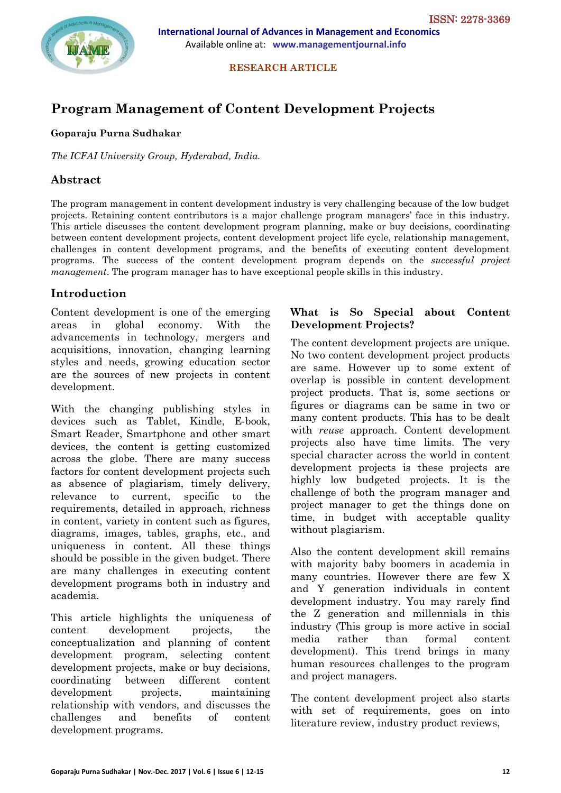

 **International Journal of Advances in Management and Economics** Available online at: **www.managementjournal.info**

 **RESEARCH ARTICLE**

# **Program Management of Content Development Projects**

#### **Goparaju Purna Sudhakar**

*The ICFAI University Group, Hyderabad, India.*

# **Abstract**

The program management in content development industry is very challenging because of the low budget projects. Retaining content contributors is a major challenge program managers' face in this industry. This article discusses the content development program planning, make or buy decisions, coordinating between content development projects, content development project life cycle, relationship management, challenges in content development programs, and the benefits of executing content development programs. The success of the content development program depends on the *successful project management*. The program manager has to have exceptional people skills in this industry.

#### **Introduction**

Content development is one of the emerging areas in global economy. With the advancements in technology, mergers and acquisitions, innovation, changing learning styles and needs, growing education sector are the sources of new projects in content development.

With the changing publishing styles in devices such as Tablet, Kindle, E-book, Smart Reader, Smartphone and other smart devices, the content is getting customized across the globe. There are many success factors for content development projects such as absence of plagiarism, timely delivery, relevance to current, specific to the requirements, detailed in approach, richness in content, variety in content such as figures, diagrams, images, tables, graphs, etc., and uniqueness in content. All these things should be possible in the given budget. There are many challenges in executing content development programs both in industry and academia.

This article highlights the uniqueness of content development projects, the conceptualization and planning of content development program, selecting content development projects, make or buy decisions, coordinating between different content development projects, maintaining relationship with vendors, and discusses the challenges and benefits of content development programs.

#### **What is So Special about Content Development Projects?**

The content development projects are unique. No two content development project products are same. However up to some extent of overlap is possible in content development project products. That is, some sections or figures or diagrams can be same in two or many content products. This has to be dealt with *reuse* approach. Content development projects also have time limits. The very special character across the world in content development projects is these projects are highly low budgeted projects. It is the challenge of both the program manager and project manager to get the things done on time, in budget with acceptable quality without plagiarism.

Also the content development skill remains with majority baby boomers in academia in many countries. However there are few X and Y generation individuals in content development industry. You may rarely find the Z generation and millennials in this industry (This group is more active in social media rather than formal content development). This trend brings in many human resources challenges to the program and project managers.

The content development project also starts with set of requirements, goes on into literature review, industry product reviews,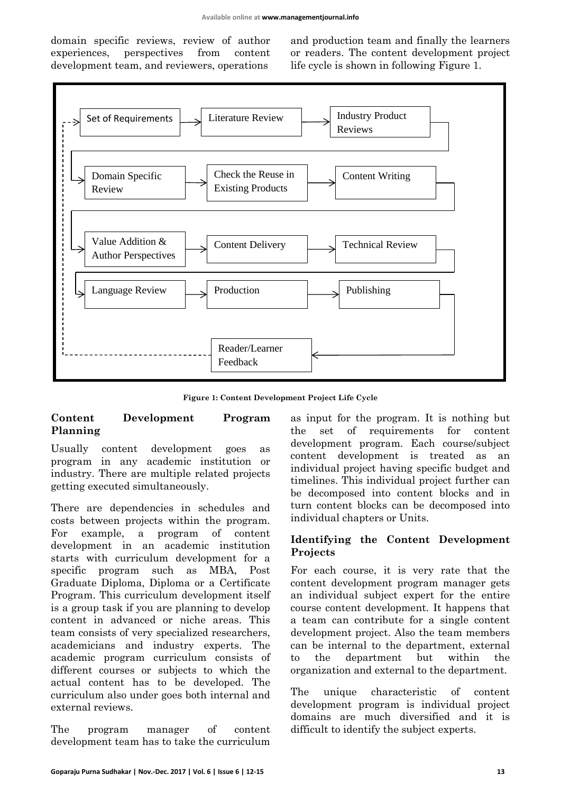domain specific reviews, review of author experiences, perspectives from content development team, and reviewers, operations

and production team and finally the learners or readers. The content development project life cycle is shown in following Figure 1.



**Figure 1: Content Development Project Life Cycle**

#### **Content Development Program Planning**

Usually content development goes as program in any academic institution or industry. There are multiple related projects getting executed simultaneously.

There are dependencies in schedules and costs between projects within the program. For example, a program of content development in an academic institution starts with curriculum development for a specific program such as MBA, Post Graduate Diploma, Diploma or a Certificate Program. This curriculum development itself is a group task if you are planning to develop content in advanced or niche areas. This team consists of very specialized researchers, academicians and industry experts. The academic program curriculum consists of different courses or subjects to which the actual content has to be developed. The curriculum also under goes both internal and external reviews.

The program manager of content development team has to take the curriculum

as input for the program. It is nothing but the set of requirements for content development program. Each course/subject content development is treated as an individual project having specific budget and timelines. This individual project further can be decomposed into content blocks and in turn content blocks can be decomposed into individual chapters or Units.

#### **Identifying the Content Development Projects**

For each course, it is very rate that the content development program manager gets an individual subject expert for the entire course content development. It happens that a team can contribute for a single content development project. Also the team members can be internal to the department, external to the department but within the organization and external to the department.

The unique characteristic of content development program is individual project domains are much diversified and it is difficult to identify the subject experts.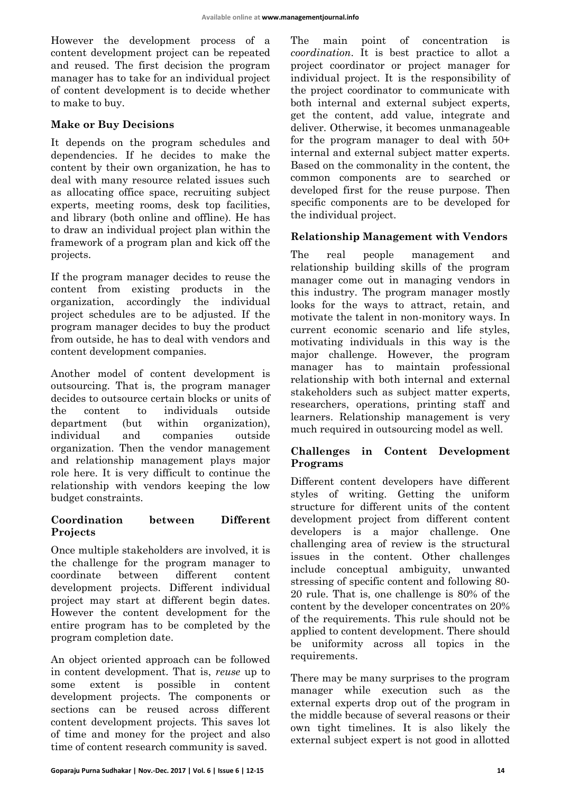However the development process of a content development project can be repeated and reused. The first decision the program manager has to take for an individual project of content development is to decide whether to make to buy.

## **Make or Buy Decisions**

It depends on the program schedules and dependencies. If he decides to make the content by their own organization, he has to deal with many resource related issues such as allocating office space, recruiting subject experts, meeting rooms, desk top facilities, and library (both online and offline). He has to draw an individual project plan within the framework of a program plan and kick off the projects.

If the program manager decides to reuse the content from existing products in the organization, accordingly the individual project schedules are to be adjusted. If the program manager decides to buy the product from outside, he has to deal with vendors and content development companies.

Another model of content development is outsourcing. That is, the program manager decides to outsource certain blocks or units of the content to individuals outside department (but within organization), individual and companies outside organization. Then the vendor management and relationship management plays major role here. It is very difficult to continue the relationship with vendors keeping the low budget constraints.

## **Coordination between Different Projects**

Once multiple stakeholders are involved, it is the challenge for the program manager to coordinate between different content development projects. Different individual project may start at different begin dates. However the content development for the entire program has to be completed by the program completion date.

An object oriented approach can be followed in content development. That is, *reuse* up to some extent is possible in content development projects. The components or sections can be reused across different content development projects. This saves lot of time and money for the project and also time of content research community is saved.

The main point of concentration is *coordination*. It is best practice to allot a project coordinator or project manager for individual project. It is the responsibility of the project coordinator to communicate with both internal and external subject experts, get the content, add value, integrate and deliver. Otherwise, it becomes unmanageable for the program manager to deal with 50+ internal and external subject matter experts. Based on the commonality in the content, the common components are to searched or developed first for the reuse purpose. Then specific components are to be developed for the individual project.

# **Relationship Management with Vendors**

The real people management and relationship building skills of the program manager come out in managing vendors in this industry. The program manager mostly looks for the ways to attract, retain, and motivate the talent in non-monitory ways. In current economic scenario and life styles, motivating individuals in this way is the major challenge. However, the program manager has to maintain professional relationship with both internal and external stakeholders such as subject matter experts, researchers, operations, printing staff and learners. Relationship management is very much required in outsourcing model as well.

## **Challenges in Content Development Programs**

Different content developers have different styles of writing. Getting the uniform structure for different units of the content development project from different content developers is a major challenge. One challenging area of review is the structural issues in the content. Other challenges include conceptual ambiguity, unwanted stressing of specific content and following 80- 20 rule. That is, one challenge is 80% of the content by the developer concentrates on 20% of the requirements. This rule should not be applied to content development. There should be uniformity across all topics in the requirements.

There may be many surprises to the program manager while execution such as the external experts drop out of the program in the middle because of several reasons or their own tight timelines. It is also likely the external subject expert is not good in allotted